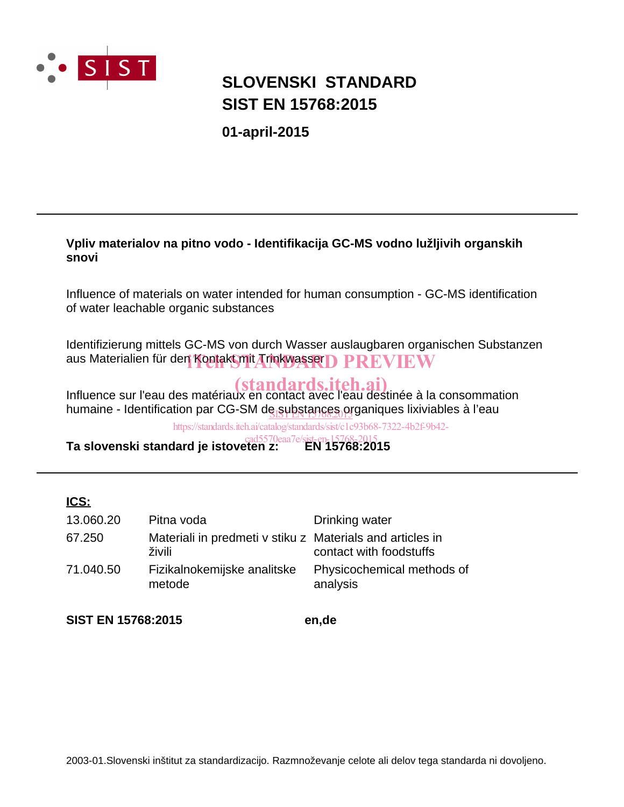

## **SIST EN 15768:2015 SLOVENSKI STANDARD**

**01-april-2015**

### **Vpliv materialov na pitno vodo - Identifikacija GC-MS vodno lužljivih organskih snovi**

Influence of materials on water intended for human consumption - GC-MS identification of water leachable organic substances

Identifizierung mittels GC-MS von durch Wasser auslaugbaren organischen Substanzen aus Materialien für den Kontakt mit Trinkwasser $\bf D~PREVIEW$ 

Influence sur l'eau des matériaux en contact avec l'eau destinée à la consommation humaine - Identification par CG-SM de substances organiques lixiviables à l'eau

https://standards.iteh.ai/catalog/standards/sist/c1c93b68-7322-4b2f-9b42-

**Ta slovenski standard je istoveten z: EN 15768:2015** cad5570eaa7e/sist-en-15768-2015

### **ICS:**

| 13.060.20 | Pitna voda                                                          | Drinking water                         |
|-----------|---------------------------------------------------------------------|----------------------------------------|
| 67.250    | Materiali in predmeti v stiku z Materials and articles in<br>živili | contact with foodstuffs                |
| 71.040.50 | Fizikalnokemijske analitske<br>metode                               | Physicochemical methods of<br>analysis |

**SIST EN 15768:2015 en,de**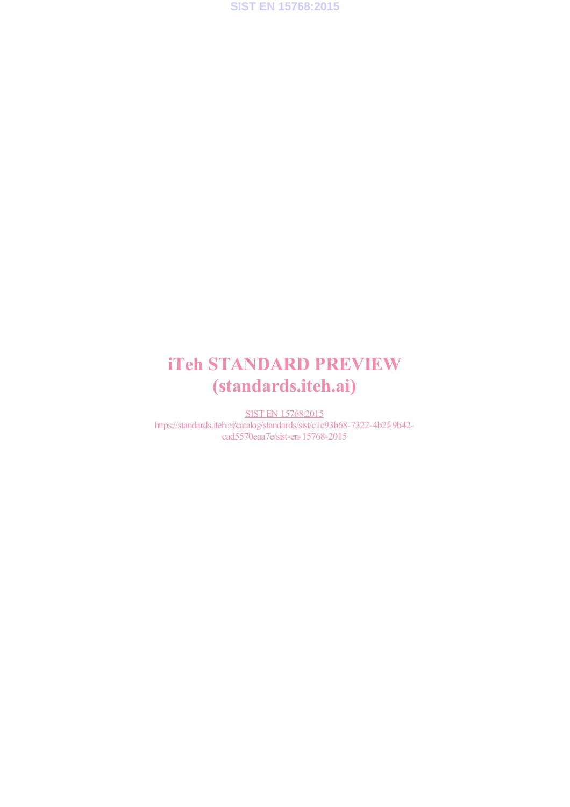

## iTeh STANDARD PREVIEW (standards.iteh.ai)

SIST EN 15768:2015 https://standards.iteh.ai/catalog/standards/sist/c1c93b68-7322-4b2f-9b42cad5570eaa7e/sist-en-15768-2015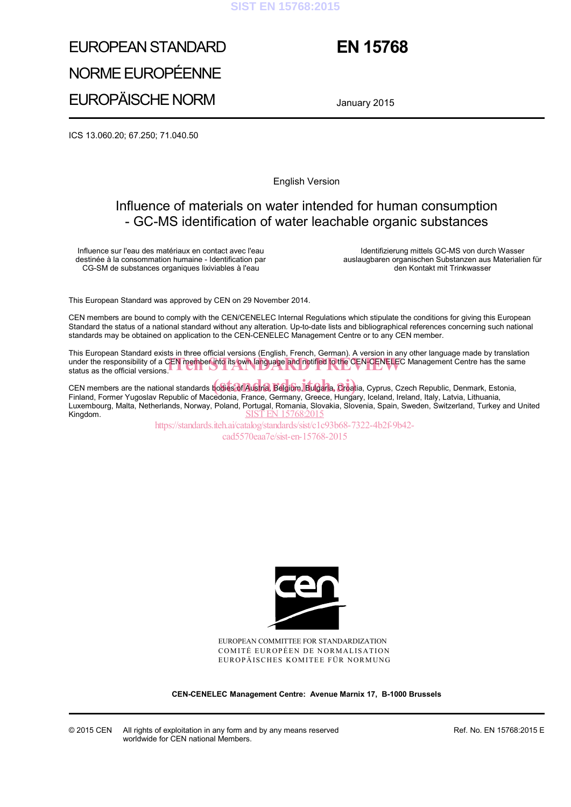#### **SIST EN 15768:2015**

## EUROPEAN STANDARD NORME EUROPÉENNE EUROPÄISCHE NORM

## **EN 15768**

January 2015

ICS 13.060.20; 67.250; 71.040.50

English Version

## Influence of materials on water intended for human consumption - GC-MS identification of water leachable organic substances

Influence sur l'eau des matériaux en contact avec l'eau destinée à la consommation humaine - Identification par CG-SM de substances organiques lixiviables à l'eau

 Identifizierung mittels GC-MS von durch Wasser auslaugbaren organischen Substanzen aus Materialien für den Kontakt mit Trinkwasser

This European Standard was approved by CEN on 29 November 2014.

CEN members are bound to comply with the CEN/CENELEC Internal Regulations which stipulate the conditions for giving this European Standard the status of a national standard without any alteration. Up-to-date lists and bibliographical references concerning such national standards may be obtained on application to the CEN-CENELEC Management Centre or to any CEN member.

This European Standard exists in three official versions (English, French, German). A version in any other language made by translation under the responsibility of a CEN member into its own language and notified to the CEN-CENELEC Management Centre has the same status as the official versions. status as the official versions.

CEN members are the national standards bodies of Austria, Belgium, Bulgaria, Croatia, Cyprus, Czech Republic, Denmark, Estonia, cEN members are the national standards bodies of Austria, Belgium, Bulgaria, Croatia, Cyprus, Czech Republic, Denmark, Esto<br>Finland, Former Yugoslav Republic of Macedonia, France, Germany, Greece, Hungary, Iceland, Ireland Luxembourg, Malta, Netherlands, Norway, Poland, Portugal, Romania, Slovakia, Slovenia, Spain, Sweden, Switzerland, Turkey and United Kingdom.<br>Kingdom. Kingdom.

https://standards.iteh.ai/catalog/standards/sist/c1c93b68-7322-4b2f-9b42 cad5570eaa7e/sist-en-15768-2015



EUROPEAN COMMITTEE FOR STANDARDIZATION COMITÉ EUROPÉEN DE NORMALISATION EUROPÄISCHES KOMITEE FÜR NORMUNG

**CEN-CENELEC Management Centre: Avenue Marnix 17, B-1000 Brussels** 

Ref. No. EN 15768:2015 E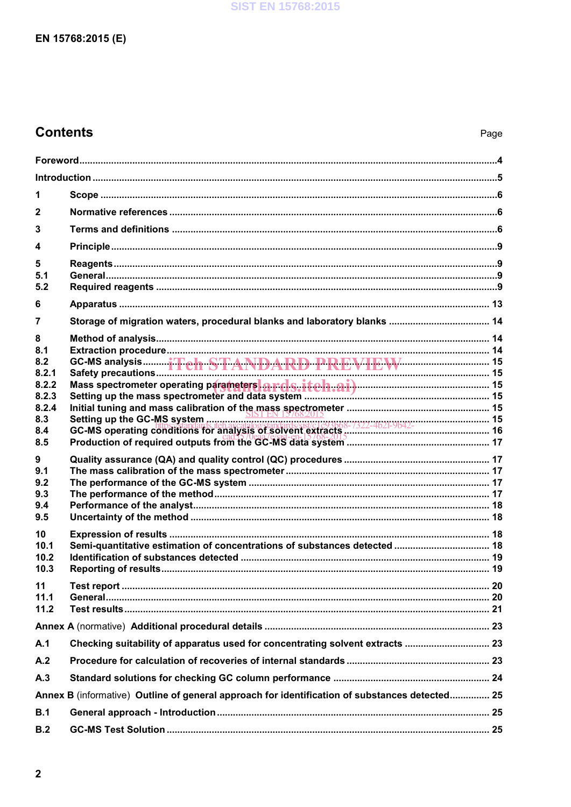## **Contents**

| 1                                                                        |                                                                                                |  |  |  |
|--------------------------------------------------------------------------|------------------------------------------------------------------------------------------------|--|--|--|
| $\overline{2}$                                                           |                                                                                                |  |  |  |
| 3                                                                        |                                                                                                |  |  |  |
| 4                                                                        |                                                                                                |  |  |  |
| 5<br>5.1<br>5.2                                                          |                                                                                                |  |  |  |
| 6                                                                        |                                                                                                |  |  |  |
| 7                                                                        |                                                                                                |  |  |  |
| 8<br>8.1<br>8.2<br>8.2.1<br>8.2.2<br>8.2.3<br>8.2.4<br>8.3<br>8.4<br>8.5 |                                                                                                |  |  |  |
| 9<br>9.1<br>9.2<br>9.3<br>9.4<br>9.5                                     |                                                                                                |  |  |  |
| 10<br>10.1<br>10.2<br>10.3                                               |                                                                                                |  |  |  |
| 11<br>11.1<br>11.2                                                       |                                                                                                |  |  |  |
|                                                                          |                                                                                                |  |  |  |
| A.1                                                                      | Checking suitability of apparatus used for concentrating solvent extracts  23                  |  |  |  |
| A.2                                                                      |                                                                                                |  |  |  |
| A.3                                                                      |                                                                                                |  |  |  |
|                                                                          | Annex B (informative) Outline of general approach for identification of substances detected 25 |  |  |  |
| B.1                                                                      |                                                                                                |  |  |  |
| B.2                                                                      |                                                                                                |  |  |  |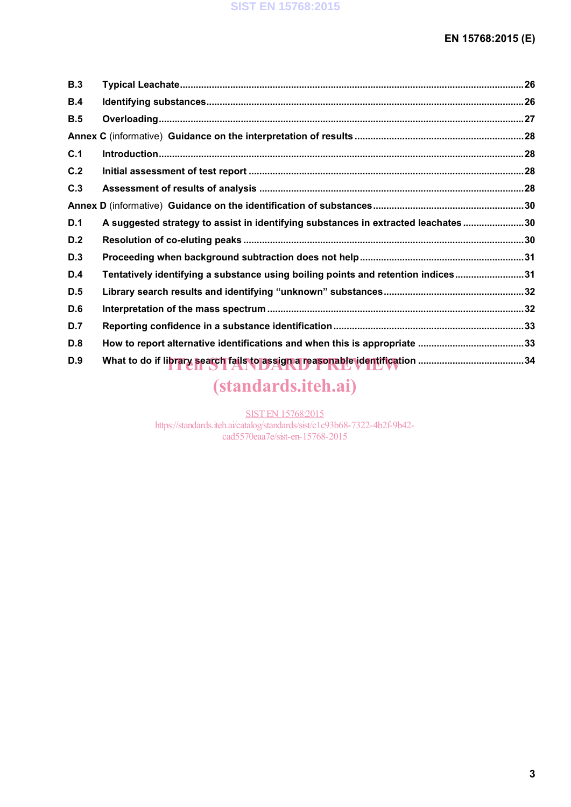| <b>B.3</b> |                                                                                   |  |
|------------|-----------------------------------------------------------------------------------|--|
| B.4        |                                                                                   |  |
| B.5        |                                                                                   |  |
|            |                                                                                   |  |
| C.1        |                                                                                   |  |
| C.2        |                                                                                   |  |
| C.3        |                                                                                   |  |
|            |                                                                                   |  |
| D.1        | A suggested strategy to assist in identifying substances in extracted leachates30 |  |
| D.2        |                                                                                   |  |
| D.3        |                                                                                   |  |
| D.4        | Tentatively identifying a substance using boiling points and retention indices31  |  |
| D.5        |                                                                                   |  |
| D.6        |                                                                                   |  |
| <b>D.7</b> |                                                                                   |  |
| D.8        |                                                                                   |  |
| D.9        |                                                                                   |  |

# (standards.iteh.ai)

SIST EN 15768:2015 https://standards.iteh.ai/catalog/standards/sist/c1c93b68-7322-4b2f-9b42 cad5570eaa7e/sist-en-15768-2015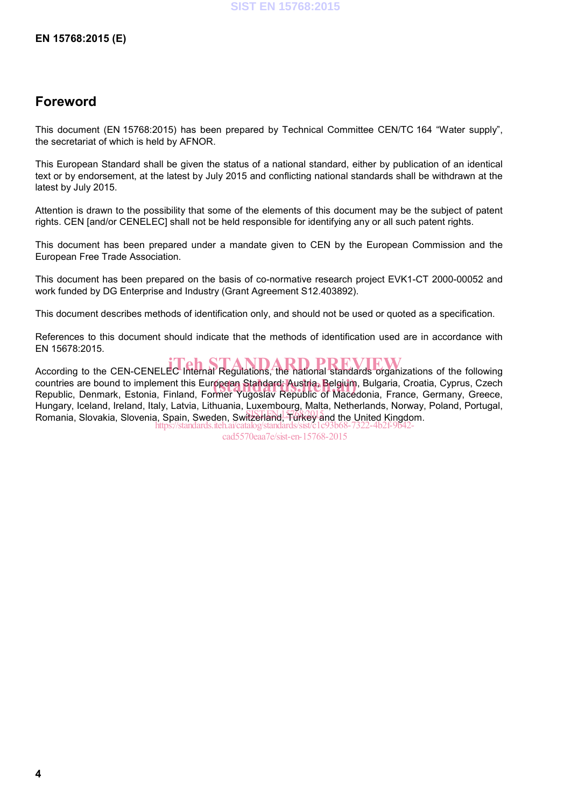### **Foreword**

This document (EN 15768:2015) has been prepared by Technical Committee CEN/TC 164 "Water supply", the secretariat of which is held by AFNOR.

This European Standard shall be given the status of a national standard, either by publication of an identical text or by endorsement, at the latest by July 2015 and conflicting national standards shall be withdrawn at the latest by July 2015.

Attention is drawn to the possibility that some of the elements of this document may be the subject of patent rights. CEN [and/or CENELEC] shall not be held responsible for identifying any or all such patent rights.

This document has been prepared under a mandate given to CEN by the European Commission and the European Free Trade Association.

This document has been prepared on the basis of co-normative research project EVK1-CT 2000-00052 and work funded by DG Enterprise and Industry (Grant Agreement S12.403892).

This document describes methods of identification only, and should not be used or quoted as a specification.

References to this document should indicate that the methods of identification used are in accordance with EN 15678:2015.

According to the CEN-CENELEC Internal Regulations, the national standards organizations of the following countries are bound to implement this European Standard: Austria, Belgium, Bulgaria, Croatia, Cyprus, Czech<br>Republic, Denmark, Estonia, Finland, Former Yugoslav Republic, of Macedonia, France, Germany, Greece Republic, Denmark, Estonia, Finland, Former Yugoslav Republic of Macedonia, France, Germany, Greece, Hungary, Iceland, Ireland, Italy, Latvia, Lithuania, Luxembourg, Malta, Netherlands, Norway, Poland, Portugal, rungury, resultury, resultury, rung, Eurita, Euricania, Spania, Turkey and the United Kingdom.<br>Romania, Slovakia, Slovenia, Spain, Sweden, Switzerland, Turkey and the United Kingdom. https://standards.iteh.ai/catalog/standards/sist/c1c93b68-7322-4b2f-9b42-

cad5570eaa7e/sist-en-15768-2015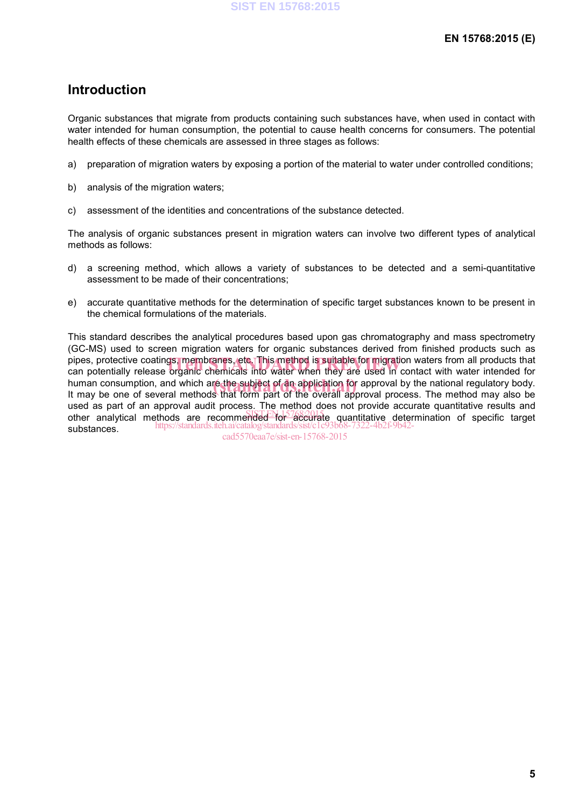### **Introduction**

Organic substances that migrate from products containing such substances have, when used in contact with water intended for human consumption, the potential to cause health concerns for consumers. The potential health effects of these chemicals are assessed in three stages as follows:

- a) preparation of migration waters by exposing a portion of the material to water under controlled conditions;
- b) analysis of the migration waters;
- c) assessment of the identities and concentrations of the substance detected.

The analysis of organic substances present in migration waters can involve two different types of analytical methods as follows:

- d) a screening method, which allows a variety of substances to be detected and a semi-quantitative assessment to be made of their concentrations;
- e) accurate quantitative methods for the determination of specific target substances known to be present in the chemical formulations of the materials.

This standard describes the analytical procedures based upon gas chromatography and mass spectrometry (GC-MS) used to screen migration waters for organic substances derived from finished products such as pipes, protective coatings, membranes, etc. This method is suitable for migration waters from all products that<br>can potentially release organic chemicals into water when they are used in contact with water intended for can potentially release organic chemicals into water when they are used in contact with water intended for human consumption, and which are the subject of an application for approval by the national regulatory body.<br>It may be one of several methods that form part of the overall approval process. The method may also be It may be one of several methods that form part of the overall approval process. The method may also be used as part of an approval audit process. The method does not provide accurate quantitative results and other analytical methods are recommended for accurate quantitative determination of specific target substances. https://standards.iteh.ai/catalog/standards/sist/c1c93b68-7322-4b2f-9b42-

cad5570eaa7e/sist-en-15768-2015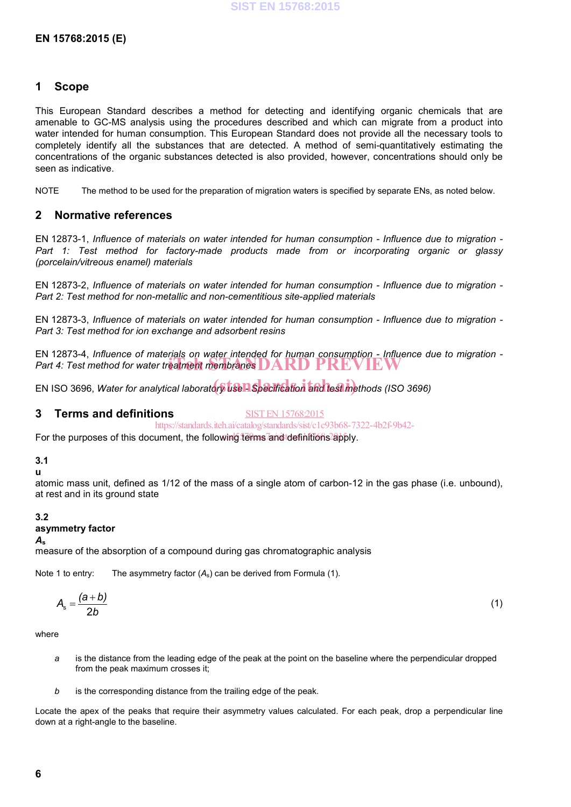#### **1 Scope**

This European Standard describes a method for detecting and identifying organic chemicals that are amenable to GC-MS analysis using the procedures described and which can migrate from a product into water intended for human consumption. This European Standard does not provide all the necessary tools to completely identify all the substances that are detected. A method of semi-quantitatively estimating the concentrations of the organic substances detected is also provided, however, concentrations should only be seen as indicative.

NOTE The method to be used for the preparation of migration waters is specified by separate ENs, as noted below.

#### **2 Normative references**

EN 12873-1, *Influence of materials on water intended for human consumption - Influence due to migration - Part 1: Test method for factory-made products made from or incorporating organic or glassy (porcelain/vitreous enamel) materials*

EN 12873-2, *Influence of materials on water intended for human consumption - Influence due to migration - Part 2: Test method for non-metallic and non-cementitious site-applied materials*

EN 12873-3, *Influence of materials on water intended for human consumption - Influence due to migration - Part 3: Test method for ion exchange and adsorbent resins*

EN 12873-4, *Influence of materials on water intended for human consumption - Influence due to migration -* **Part 4: Test method for water treatment membranes DARD PREVIEW** 

EN ISO 3696, *Water for analytical laboratory use A Specification and test methods (ISO 3696)* 

#### **3 Terms and definitions**

SIST EN 15768:2015

https://standards.iteh.ai/catalog/standards/sist/c1c93b68-7322-4b2f-9b42-

For the purposes of this document, the following terms and definitions apply.

#### **3.1**

#### **u**

atomic mass unit, defined as 1/12 of the mass of a single atom of carbon-12 in the gas phase (i.e. unbound), at rest and in its ground state

#### **3.2**

#### **asymmetry factor**

#### *A***<sup>s</sup>**

measure of the absorption of a compound during gas chromatographic analysis

Note 1 to entry: The asymmetry factor  $(A_s)$  can be derived from Formula (1).

$$
A_{\rm s} = \frac{(a+b)}{2b} \tag{1}
$$

where

- *a* is the distance from the leading edge of the peak at the point on the baseline where the perpendicular dropped from the peak maximum crosses it;
- *b* is the corresponding distance from the trailing edge of the peak.

Locate the apex of the peaks that require their asymmetry values calculated. For each peak, drop a perpendicular line down at a right-angle to the baseline.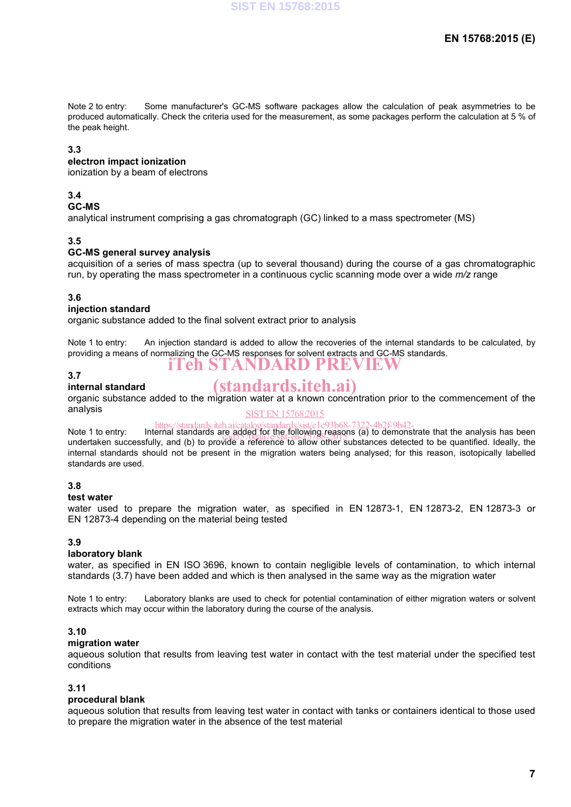Note 2 to entry: Some manufacturer's GC-MS software packages allow the calculation of peak asymmetries to be produced automatically. Check the criteria used for the measurement, as some packages perform the calculation at 5 % of the peak height.

#### **3.3**

#### **electron impact ionization**

ionization by a beam of electrons

#### **3.4**

#### **GC-MS**

analytical instrument comprising a gas chromatograph (GC) linked to a mass spectrometer (MS)

#### **3.5**

#### **GC-MS general survey analysis**

acquisition of a series of mass spectra (up to several thousand) during the course of a gas chromatographic run, by operating the mass spectrometer in a continuous cyclic scanning mode over a wide *m/z* range

#### **3.6**

#### **injection standard**

organic substance added to the final solvent extract prior to analysis

Note 1 to entry: An injection standard is added to allow the recoveries of the internal standards to be calculated, by providing a means of normalizing the GC-MS responses for solvent extracts and GC-MS standards. iTeh STANDARD PREVIEW

#### **3.7**

#### **internal standard**

## (standards.iteh.ai)

organic substance added to the migration water at a known concentration prior to the commencement of the analysis

### SIST EN 15768:2015

https://standards.iteh.ai/catalog/standards/sist/c1c93b68-7322-4b2f-9b42-<br>Note 1 to entry: Internal standards are added for the following reasons (a) to demonstrate that the analysis has been

undertaken successfully, and (b) to provide a reference to allow other substances detected to be quantified. Ideally, the internal standards should not be present in the migration waters being analysed; for this reason, isotopically labelled standards are used. re aqueu fut the following easu<br>cad5570eaa7e/sist-en-15768-2015

#### **3.8**

#### **test water**

water used to prepare the migration water, as specified in EN 12873-1, EN 12873-2, EN 12873-3 or EN 12873-4 depending on the material being tested

#### **3.9**

#### **laboratory blank**

water, as specified in EN ISO 3696, known to contain negligible levels of contamination, to which internal standards (3.7) have been added and which is then analysed in the same way as the migration water

Note 1 to entry: Laboratory blanks are used to check for potential contamination of either migration waters or solvent extracts which may occur within the laboratory during the course of the analysis.

#### **3.10**

#### **migration water**

aqueous solution that results from leaving test water in contact with the test material under the specified test conditions

#### **3.11**

#### **procedural blank**

aqueous solution that results from leaving test water in contact with tanks or containers identical to those used to prepare the migration water in the absence of the test material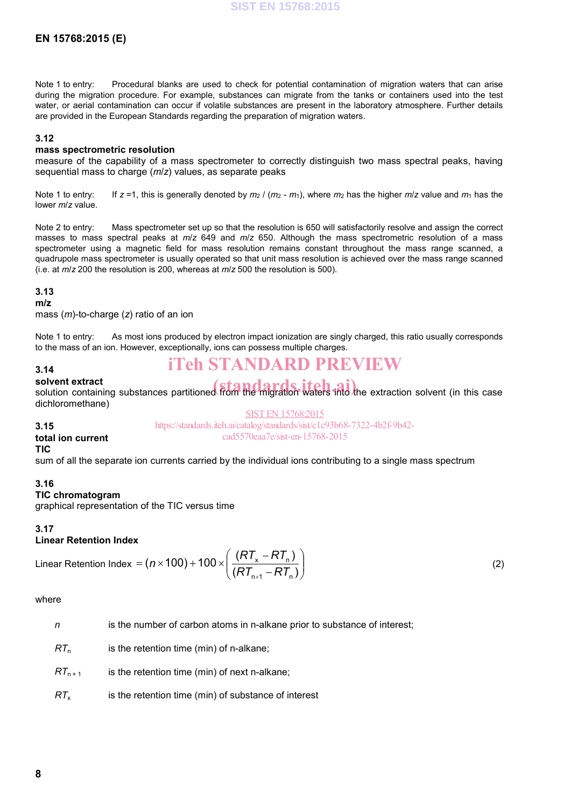### **EN 15768:2015 (E)**

Note 1 to entry: Procedural blanks are used to check for potential contamination of migration waters that can arise during the migration procedure. For example, substances can migrate from the tanks or containers used into the test water, or aerial contamination can occur if volatile substances are present in the laboratory atmosphere. Further details are provided in the European Standards regarding the preparation of migration waters.

#### **3.12**

#### **mass spectrometric resolution**

measure of the capability of a mass spectrometer to correctly distinguish two mass spectral peaks, having sequential mass to charge (*m*/*z*) values, as separate peaks

Note 1 to entry: If  $z = 1$ , this is generally denoted by  $m_2 / (m_2 - m_1)$ , where  $m_2$  has the higher  $m/z$  value and  $m_1$  has the lower *m*/*z* value.

Note 2 to entry: Mass spectrometer set up so that the resolution is 650 will satisfactorily resolve and assign the correct masses to mass spectral peaks at *m*/*z* 649 and *m*/*z* 650. Although the mass spectrometric resolution of a mass spectrometer using a magnetic field for mass resolution remains constant throughout the mass range scanned, a quadrupole mass spectrometer is usually operated so that unit mass resolution is achieved over the mass range scanned (i.e. at *m*/*z* 200 the resolution is 200, whereas at *m*/*z* 500 the resolution is 500).

#### **3.13**

#### **m/z**

mass (*m*)-to-charge (*z*) ratio of an ion

Note 1 to entry: As most ions produced by electron impact ionization are singly charged, this ratio usually corresponds to the mass of an ion. However, exceptionally, ions can possess multiple charges.

## iTeh STANDARD PREVIEW

**solvent extract** solvent extract<br>solution containing substances partitioned from the migration waters into the extraction solvent (in this case dichloromethane)

#### **3.15**

**3.14**

SIST EN 15768:2015 https://standards.iteh.ai/catalog/standards/sist/c1c93b68-7322-4b2f-9b42 cad5570eaa7e/sist-en-15768-2015

#### **total ion current TIC**

sum of all the separate ion currents carried by the individual ions contributing to a single mass spectrum

#### **3.16**

**TIC chromatogram** graphical representation of the TIC versus time

#### **3.17**

#### **Linear Retention Index**

Linear Retention Index = 
$$
(n \times 100) + 100 \times \left(\frac{(RT_x - RT_n)}{(RT_{n+1} - RT_n)}\right)
$$
 (2)

where

*n* is the number of carbon atoms in n-alkane prior to substance of interest;

*RT*<sub>n</sub> is the retention time (min) of n-alkane;

- $RT_{n+1}$  is the retention time (min) of next n-alkane;
- *RT*<sub>x</sub> is the retention time (min) of substance of interest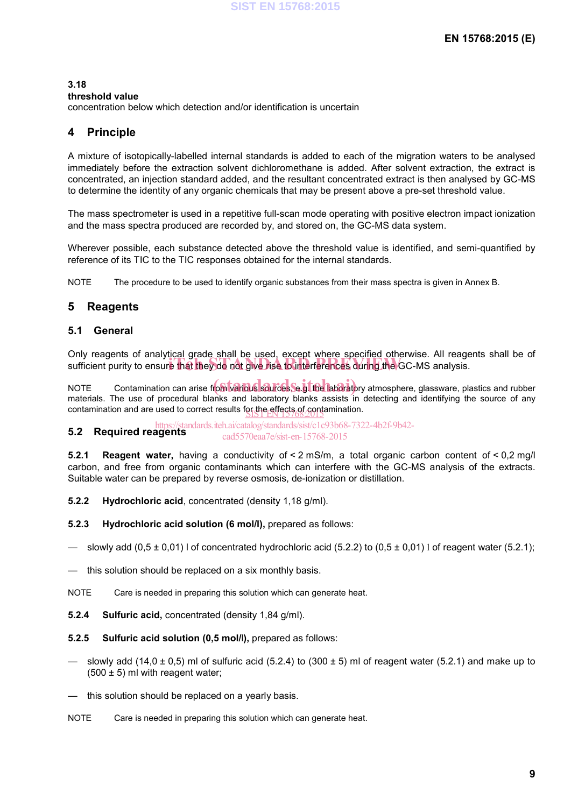#### **3.18**

#### **threshold value**

concentration below which detection and/or identification is uncertain

### **4 Principle**

A mixture of isotopically-labelled internal standards is added to each of the migration waters to be analysed immediately before the extraction solvent dichloromethane is added. After solvent extraction, the extract is concentrated, an injection standard added, and the resultant concentrated extract is then analysed by GC-MS to determine the identity of any organic chemicals that may be present above a pre-set threshold value.

The mass spectrometer is used in a repetitive full-scan mode operating with positive electron impact ionization and the mass spectra produced are recorded by, and stored on, the GC-MS data system.

Wherever possible, each substance detected above the threshold value is identified, and semi-quantified by reference of its TIC to the TIC responses obtained for the internal standards.

NOTE The procedure to be used to identify organic substances from their mass spectra is given in Annex B.

### **5 Reagents**

#### **5.1 General**

Only reagents of analytical grade shall be used, except where specified otherwise. All reagents shall be of only reagents or analytical grade shall be used, except where specified otherwise. All reagences sufficient purity to ensure that they do not give rise to interferences during the GC-MS analysis.

NOTE Contamination can arise from various sources, se of the laboratory atmosphere, glassware, plastics and rubber materials. The use of procedural blanks and laboratory blanks assists in detecting and identifying the source of any contamination and are used to correct results for the effects of contamination.

**5.2 Required reagents** tandards.iteh.ai/catalog/standards/sist/c1c93b68-7322-4b2f-9b42cad5570eaa7e/sist-en-15768-2015

**5.2.1 Reagent water,** having a conductivity of < 2 mS/m, a total organic carbon content of < 0,2 mg/l carbon, and free from organic contaminants which can interfere with the GC-MS analysis of the extracts. Suitable water can be prepared by reverse osmosis, de-ionization or distillation.

**5.2.2 Hydrochloric acid**, concentrated (density 1,18 g/ml).

**5.2.3 Hydrochloric acid solution (6 mol/l),** prepared as follows:

- slowly add  $(0.5 \pm 0.01)$  l of concentrated hydrochloric acid (5.2.2) to (0.5  $\pm$  0.01) l of reagent water (5.2.1);
- this solution should be replaced on a six monthly basis.

NOTE Care is needed in preparing this solution which can generate heat.

**5.2.4 Sulfuric acid,** concentrated (density 1,84 g/ml).

**5.2.5 Sulfuric acid solution (0,5 mol/**l**),** prepared as follows:

- slowly add (14,0  $\pm$  0,5) ml of sulfuric acid (5.2.4) to (300  $\pm$  5) ml of reagent water (5.2.1) and make up to  $(500 \pm 5)$  ml with reagent water;
- this solution should be replaced on a yearly basis.

NOTE Care is needed in preparing this solution which can generate heat.